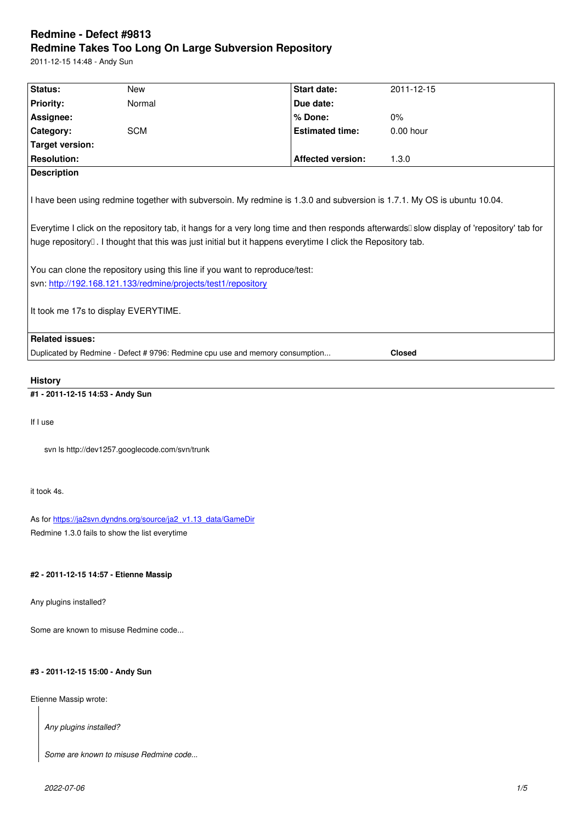#### **Redmine Takes Too Long On Large Subversion Repository**

2011-12-15 14:48 - Andy Sun

| Status:                                                                                                                                                                                                                                                                                                                                             | New        | <b>Start date:</b>       | 2011-12-15    |
|-----------------------------------------------------------------------------------------------------------------------------------------------------------------------------------------------------------------------------------------------------------------------------------------------------------------------------------------------------|------------|--------------------------|---------------|
| <b>Priority:</b>                                                                                                                                                                                                                                                                                                                                    | Normal     | Due date:                |               |
| Assignee:                                                                                                                                                                                                                                                                                                                                           |            | % Done:                  | 0%            |
| Category:                                                                                                                                                                                                                                                                                                                                           | <b>SCM</b> | <b>Estimated time:</b>   | $0.00$ hour   |
| <b>Target version:</b>                                                                                                                                                                                                                                                                                                                              |            |                          |               |
| <b>Resolution:</b>                                                                                                                                                                                                                                                                                                                                  |            | <b>Affected version:</b> | 1.3.0         |
| <b>Description</b>                                                                                                                                                                                                                                                                                                                                  |            |                          |               |
| Everytime I click on the repository tab, it hangs for a very long time and then responds afterwards□ slow display of 'repository' tab for<br>huge repository $\mathbb I$ . I thought that this was just initial but it happens everytime I click the Repository tab.<br>You can clone the repository using this line if you want to reproduce/test: |            |                          |               |
| svn: http://192.168.121.133/redmine/projects/test1/repository                                                                                                                                                                                                                                                                                       |            |                          |               |
| It took me 17s to display EVERYTIME.                                                                                                                                                                                                                                                                                                                |            |                          |               |
| <b>Related issues:</b>                                                                                                                                                                                                                                                                                                                              |            |                          |               |
| Duplicated by Redmine - Defect # 9796: Redmine cpu use and memory consumption                                                                                                                                                                                                                                                                       |            |                          | <b>Closed</b> |
|                                                                                                                                                                                                                                                                                                                                                     |            |                          |               |
| <b>History</b>                                                                                                                                                                                                                                                                                                                                      |            |                          |               |

**#1 - 2011-12-15 14:53 - Andy Sun**

If I use

svn ls http://dev1257.googlecode.com/svn/trunk

it took 4s.

As for https://ja2svn.dyndns.org/source/ja2\_v1.13\_data/GameDir Redmine 1.3.0 fails to show the list everytime

# **#2 - 2[011-12-15 14:57 - Etienne Massip](https://ja2svn.dyndns.org/source/ja2_v1.13_data/GameDir)**

Any plugins installed?

Some are known to misuse Redmine code...

# **#3 - 2011-12-15 15:00 - Andy Sun**

Etienne Massip wrote:

*Any plugins installed?*

*Some are known to misuse Redmine code...*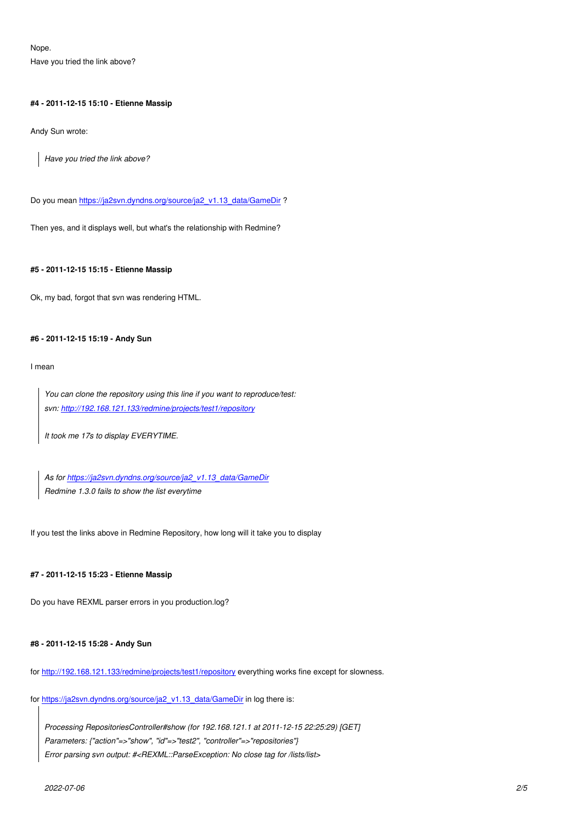Nope.

Have you tried the link above?

## **#4 - 2011-12-15 15:10 - Etienne Massip**

Andy Sun wrote:

*Have you tried the link above?*

Do you mean https://ja2svn.dyndns.org/source/ja2\_v1.13\_data/GameDir ?

Then yes, and it displays well, but what's the relationship with Redmine?

## **#5 - 2011-12-15 15:15 - Etienne Massip**

Ok, my bad, forgot that svn was rendering HTML.

## **#6 - 2011-12-15 15:19 - Andy Sun**

I mean

*You can clone the repository using this line if you want to reproduce/test: svn: http://192.168.121.133/redmine/projects/test1/repository*

*It took me 17s to display EVERYTIME.*

*As for https://ja2svn.dyndns.org/source/ja2\_v1.13\_data/GameDir Redmine 1.3.0 fails to show the list everytime*

If you test [the links above in Redmine Repository, how long will it take](https://ja2svn.dyndns.org/source/ja2_v1.13_data/GameDir) you to display

# **#7 - 2011-12-15 15:23 - Etienne Massip**

Do you have REXML parser errors in you production.log?

# **#8 - 2011-12-15 15:28 - Andy Sun**

for http://192.168.121.133/redmine/projects/test1/repository everything works fine except for slowness.

for https://ja2svn.dyndns.org/source/ja2\_v1.13\_data/GameDir in log there is:

*[Processing RepositoriesController#show \(for 192.168.1](http://192.168.121.133/redmine/projects/test1/repository)21.1 at 2011-12-15 22:25:29) [GET] [Parameters: {"action"=>"show", "id"=>"test2", "controller"=](https://ja2svn.dyndns.org/source/ja2_v1.13_data/GameDir)>"repositories"} Error parsing svn output: #<REXML::ParseException: No close tag for /lists/list>*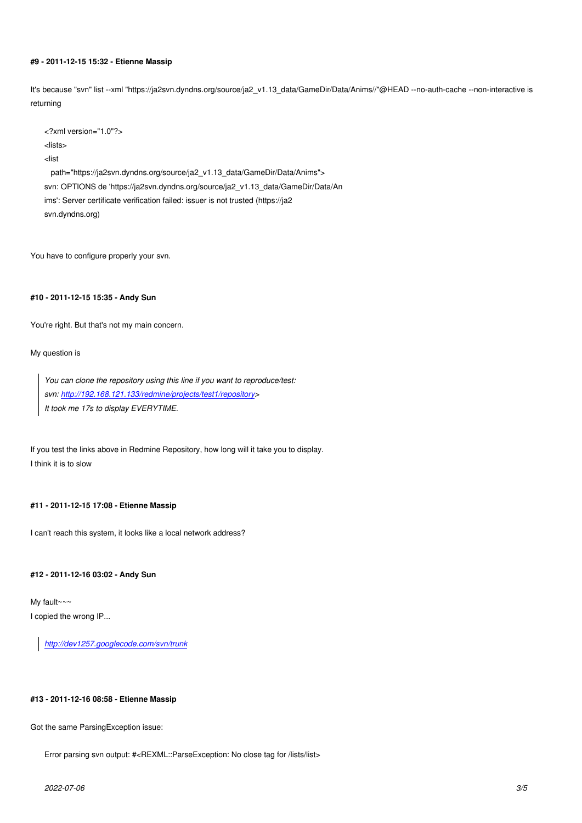#### **#9 - 2011-12-15 15:32 - Etienne Massip**

It's because "svn" list --xml "https://ja2svn.dyndns.org/source/ja2\_v1.13\_data/GameDir/Data/Anims//"@HEAD --no-auth-cache --non-interactive is returning

<?xml version="1.0"?> <lists> <list path="https://ja2svn.dyndns.org/source/ja2\_v1.13\_data/GameDir/Data/Anims"> svn: OPTIONS de 'https://ja2svn.dyndns.org/source/ja2\_v1.13\_data/GameDir/Data/An ims': Server certificate verification failed: issuer is not trusted (https://ja2 svn.dyndns.org)

You have to configure properly your svn.

#### **#10 - 2011-12-15 15:35 - Andy Sun**

You're right. But that's not my main concern.

#### My question is

*You can clone the repository using this line if you want to reproduce/test: svn: http://192.168.121.133/redmine/projects/test1/repository> It took me 17s to display EVERYTIME.*

If you te[st the links above in Redmine Repository, how long will it](http://192.168.121.133/redmine/projects/test1/repository) take you to display. I think it is to slow

## **#11 - 2011-12-15 17:08 - Etienne Massip**

I can't reach this system, it looks like a local network address?

#### **#12 - 2011-12-16 03:02 - Andy Sun**

My fault~~~ I copied the wrong IP...

*http://dev1257.googlecode.com/svn/trunk*

## **#13 [- 2011-12-16 08:58 - Etienne Massip](http://dev1257.googlecode.com/svn/trunk)**

Got the same ParsingException issue:

Error parsing svn output: #<REXML::ParseException: No close tag for /lists/list>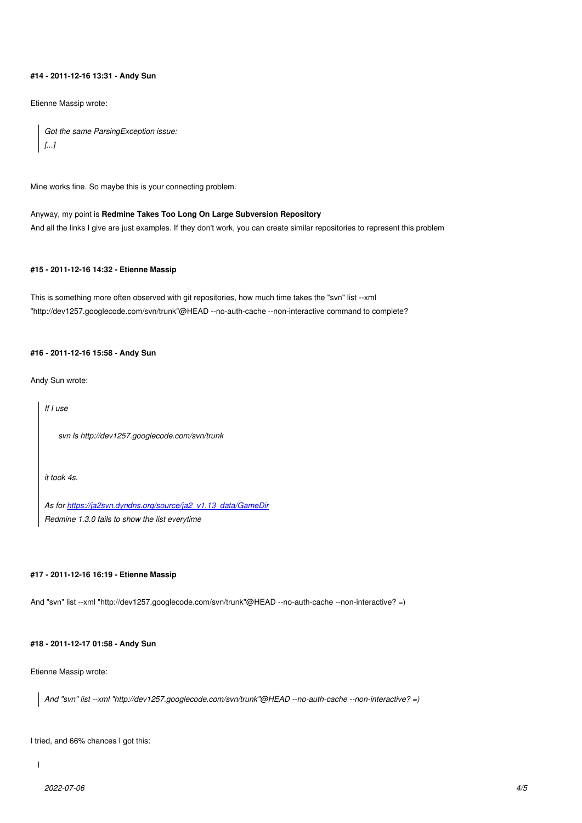## **#14 - 2011-12-16 13:31 - Andy Sun**

Etienne Massip wrote:

```
Got the same ParsingException issue:
[...]
```
Mine works fine. So maybe this is your connecting problem.

# Anyway, my point is **Redmine Takes Too Long On Large Subversion Repository** And all the links I give are just examples. If they don't work, you can create similar repositories to represent this problem

## **#15 - 2011-12-16 14:32 - Etienne Massip**

This is something more often observed with git repositories, how much time takes the "svn" list --xml "http://dev1257.googlecode.com/svn/trunk"@HEAD --no-auth-cache --non-interactive command to complete?

#### **#16 - 2011-12-16 15:58 - Andy Sun**

Andy Sun wrote:

*If I use svn ls http://dev1257.googlecode.com/svn/trunk it took 4s.*

*As for https://ja2svn.dyndns.org/source/ja2\_v1.13\_data/GameDir Redmine 1.3.0 fails to show the list everytime*

#### **#17 - 2011-12-16 16:19 - Etienne Massip**

And "svn" list --xml "http://dev1257.googlecode.com/svn/trunk"@HEAD --no-auth-cache --non-interactive? =)

## **#18 - 2011-12-17 01:58 - Andy Sun**

Etienne Massip wrote:

*And "svn" list --xml "http://dev1257.googlecode.com/svn/trunk"@HEAD --no-auth-cache --non-interactive? =)*

I tried, and 66% chances I got this:

 $\overline{1}$